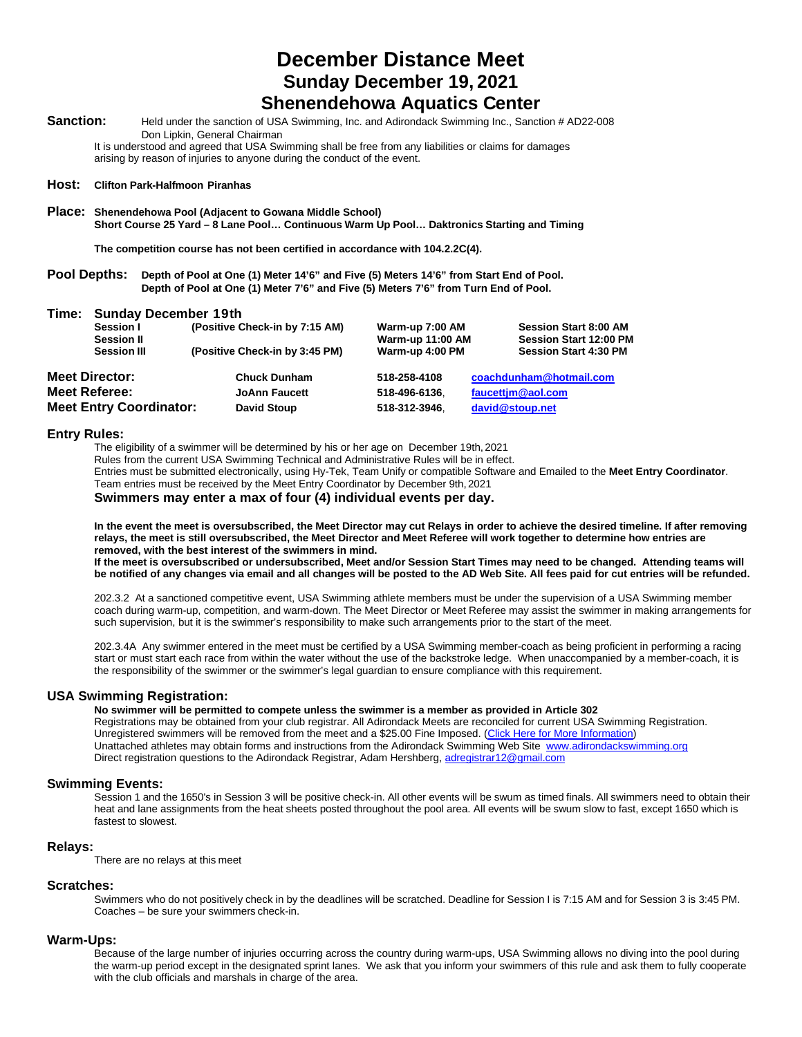# **December Distance Meet Sunday December 19, 2021**

# **Shenendehowa Aquatics Center**

Sanction: Held under the sanction of USA Swimming, Inc. and Adirondack Swimming Inc., Sanction # AD22-008 Don Lipkin, General Chairman

It is understood and agreed that USA Swimming shall be free from any liabilities or claims for damages arising by reason of injuries to anyone during the conduct of the event.

#### **Host: Clifton Park-Halfmoon Piranhas**

**Place: Shenendehowa Pool (Adjacent to Gowana Middle School) Short Course 25 Yard – 8 Lane Pool… Continuous Warm Up Pool… Daktronics Starting and Timing**

**The competition course has not been certified in accordance with 104.2.2C(4).**

**Pool Depths: Depth of Pool at One (1) Meter 14'6" and Five (5) Meters 14'6" from Start End of Pool. Depth of Pool at One (1) Meter 7'6" and Five (5) Meters 7'6" from Turn End of Pool.**

| Time: | <b>Sunday December 19th</b>    |                                |                         |                               |  |
|-------|--------------------------------|--------------------------------|-------------------------|-------------------------------|--|
|       | Session I                      | (Positive Check-in by 7:15 AM) | Warm-up 7:00 AM         | <b>Session Start 8:00 AM</b>  |  |
|       | <b>Session II</b>              |                                | <b>Warm-up 11:00 AM</b> | <b>Session Start 12:00 PM</b> |  |
|       | <b>Session III</b>             | (Positive Check-in by 3:45 PM) | Warm-up 4:00 PM         | <b>Session Start 4:30 PM</b>  |  |
|       | <b>Meet Director:</b>          | <b>Chuck Dunham</b>            | 518-258-4108            | coachdunham@hotmail.com       |  |
|       | <b>Meet Referee:</b>           | <b>JoAnn Faucett</b>           | 518-496-6136.           | faucettjm@aol.com             |  |
|       | <b>Meet Entry Coordinator:</b> | <b>David Stoup</b>             | 518-312-3946.           | david@stoup.net               |  |

#### **Entry Rules:**

The eligibility of a swimmer will be determined by his or her age on December 19th, 2021

Rules from the current USA Swimming Technical and Administrative Rules will be in effect.

Entries must be submitted electronically, using Hy-Tek, Team Unify or compatible Software and Emailed to the **Meet Entry Coordinator**. Team entries must be received by the Meet Entry Coordinator by December 9th, 2021

**Swimmers may enter a max of four (4) individual events per day.**

**In the event the meet is oversubscribed, the Meet Director may cut Relays in order to achieve the desired timeline. If after removing relays, the meet is still oversubscribed, the Meet Director and Meet Referee will work together to determine how entries are removed, with the best interest of the swimmers in mind. If the meet is oversubscribed or undersubscribed, Meet and/or Session Start Times may need to be changed. Attending teams will be notified of any changes via email and all changes will be posted to the AD Web Site. All fees paid for cut entries will be refunded.**

202.3.2 At a sanctioned competitive event, USA Swimming athlete members must be under the supervision of a USA Swimming member coach during warm-up, competition, and warm-down. The Meet Director or Meet Referee may assist the swimmer in making arrangements for such supervision, but it is the swimmer's responsibility to make such arrangements prior to the start of the meet.

202.3.4A Any swimmer entered in the meet must be certified by a USA Swimming member-coach as being proficient in performing a racing start or must start each race from within the water without the use of the backstroke ledge. When unaccompanied by a member-coach, it is the responsibility of the swimmer or the swimmer's legal guardian to ensure compliance with this requirement.

### **USA Swimming Registration:**

**No swimmer will be permitted to compete unless the swimmer is a member as provided in Article 302**

Registrations may be obtained from your club registrar. All Adirondack Meets are reconciled for current USA Swimming Registration. Unregistered swimmers will be removed from the meet and a \$25.00 Fine Imposed. (Click Here for More Information) Unattached athletes may obtain forms and instructions from the Adirondack Swimming Web Site [www.adirondackswimming.org](http://www.adirondackswimming.org/) Direct registration questions to the Adirondack Registrar, Adam Hershberg[, adregistrar12@gmail.com](mailto:adregistrar12@gmail.com)

#### **Swimming Events:**

Session 1 and the 1650's in Session 3 will be positive check-in. All other events will be swum as timed finals. All swimmers need to obtain their heat and lane assignments from the heat sheets posted throughout the pool area. All events will be swum slow to fast, except 1650 which is fastest to slowest.

## **Relays:**

There are no relays at this meet

## **Scratches:**

Swimmers who do not positively check in by the deadlines will be scratched. Deadline for Session I is 7:15 AM and for Session 3 is 3:45 PM. Coaches – be sure your swimmers check-in.

## **Warm-Ups:**

Because of the large number of injuries occurring across the country during warm-ups, USA Swimming allows no diving into the pool during the warm-up period except in the designated sprint lanes. We ask that you inform your swimmers of this rule and ask them to fully cooperate with the club officials and marshals in charge of the area.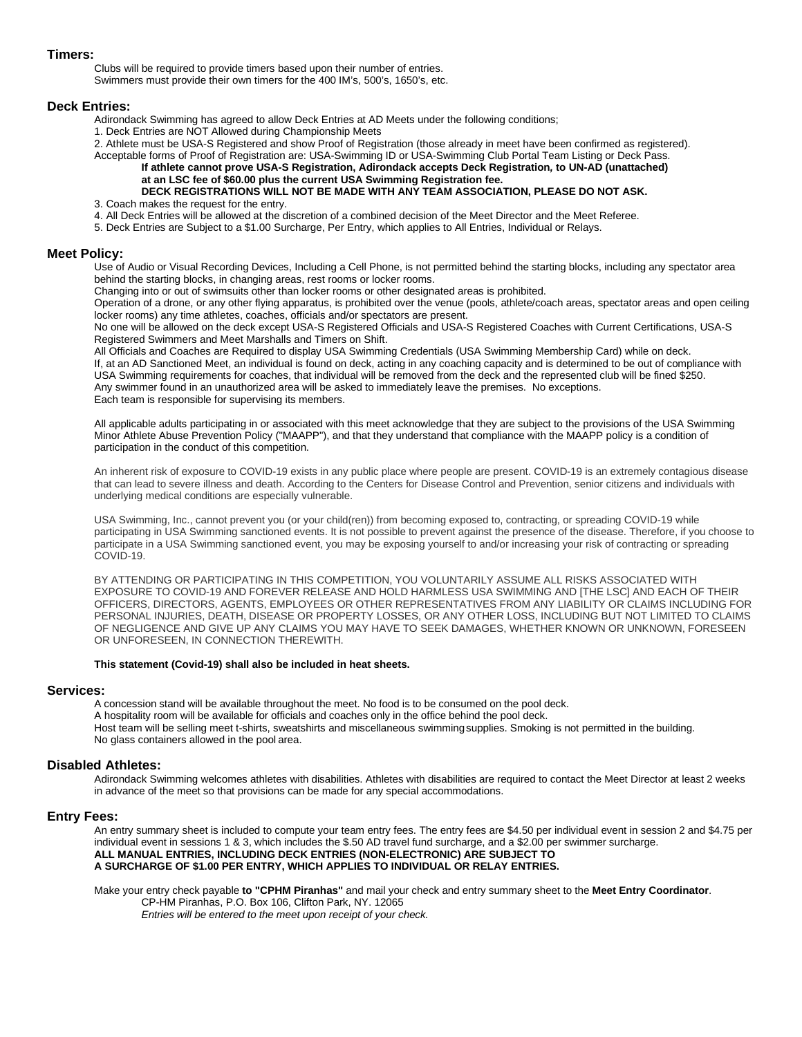## **Timers:**

Clubs will be required to provide timers based upon their number of entries. Swimmers must provide their own timers for the 400 IM's, 500's, 1650's, etc.

### **Deck Entries:**

Adirondack Swimming has agreed to allow Deck Entries at AD Meets under the following conditions;

1. Deck Entries are NOT Allowed during Championship Meets

2. Athlete must be USA-S Registered and show Proof of Registration (those already in meet have been confirmed as registered).

## Acceptable forms of Proof of Registration are: USA-Swimming ID or USA-Swimming Club Portal Team Listing or Deck Pass. **If athlete cannot prove USA-S Registration, Adirondack accepts Deck Registration***,* **to UN-AD (unattached) at an LSC fee of \$60.00 plus the current USA Swimming Registration fee.**

# **DECK REGISTRATIONS WILL NOT BE MADE WITH ANY TEAM ASSOCIATION, PLEASE DO NOT ASK.**

3. Coach makes the request for the entry.

4. All Deck Entries will be allowed at the discretion of a combined decision of the Meet Director and the Meet Referee.

5. Deck Entries are Subject to a \$1.00 Surcharge, Per Entry, which applies to All Entries, Individual or Relays.

#### **Meet Policy:**

Use of Audio or Visual Recording Devices, Including a Cell Phone, is not permitted behind the starting blocks, including any spectator area behind the starting blocks, in changing areas, rest rooms or locker rooms.

Changing into or out of swimsuits other than locker rooms or other designated areas is prohibited.

Operation of a drone, or any other flying apparatus, is prohibited over the venue (pools, athlete/coach areas, spectator areas and open ceiling locker rooms) any time athletes, coaches, officials and/or spectators are present.

No one will be allowed on the deck except USA-S Registered Officials and USA-S Registered Coaches with Current Certifications, USA-S Registered Swimmers and Meet Marshalls and Timers on Shift.

All Officials and Coaches are Required to display USA Swimming Credentials (USA Swimming Membership Card) while on deck. If, at an AD Sanctioned Meet, an individual is found on deck, acting in any coaching capacity and is determined to be out of compliance with USA Swimming requirements for coaches, that individual will be removed from the deck and the represented club will be fined \$250. Any swimmer found in an unauthorized area will be asked to immediately leave the premises. No exceptions. Each team is responsible for supervising its members.

All applicable adults participating in or associated with this meet acknowledge that they are subject to the provisions of the USA Swimming Minor Athlete Abuse Prevention Policy ("MAAPP"), and that they understand that compliance with the MAAPP policy is a condition of participation in the conduct of this competition.

An inherent risk of exposure to COVID-19 exists in any public place where people are present. COVID-19 is an extremely contagious disease that can lead to severe illness and death. According to the Centers for Disease Control and Prevention, senior citizens and individuals with underlying medical conditions are especially vulnerable.

USA Swimming, Inc., cannot prevent you (or your child(ren)) from becoming exposed to, contracting, or spreading COVID-19 while participating in USA Swimming sanctioned events. It is not possible to prevent against the presence of the disease. Therefore, if you choose to participate in a USA Swimming sanctioned event, you may be exposing yourself to and/or increasing your risk of contracting or spreading COVID-19.

BY ATTENDING OR PARTICIPATING IN THIS COMPETITION, YOU VOLUNTARILY ASSUME ALL RISKS ASSOCIATED WITH EXPOSURE TO COVID-19 AND FOREVER RELEASE AND HOLD HARMLESS USA SWIMMING AND [THE LSC] AND EACH OF THEIR OFFICERS, DIRECTORS, AGENTS, EMPLOYEES OR OTHER REPRESENTATIVES FROM ANY LIABILITY OR CLAIMS INCLUDING FOR PERSONAL INJURIES, DEATH, DISEASE OR PROPERTY LOSSES, OR ANY OTHER LOSS, INCLUDING BUT NOT LIMITED TO CLAIMS OF NEGLIGENCE AND GIVE UP ANY CLAIMS YOU MAY HAVE TO SEEK DAMAGES, WHETHER KNOWN OR UNKNOWN, FORESEEN OR UNFORESEEN, IN CONNECTION THEREWITH.

#### **This statement (Covid-19) shall also be included in heat sheets.**

#### **Services:**

A concession stand will be available throughout the meet. No food is to be consumed on the pool deck. A hospitality room will be available for officials and coaches only in the office behind the pool deck. Host team will be selling meet t-shirts, sweatshirts and miscellaneous swimmingsupplies. Smoking is not permitted in the building. No glass containers allowed in the pool area.

#### **Disabled Athletes:**

Adirondack Swimming welcomes athletes with disabilities. Athletes with disabilities are required to contact the Meet Director at least 2 weeks in advance of the meet so that provisions can be made for any special accommodations.

#### **Entry Fees:**

An entry summary sheet is included to compute your team entry fees. The entry fees are \$4.50 per individual event in session 2 and \$4.75 per individual event in sessions 1 & 3, which includes the \$.50 AD travel fund surcharge, and a \$2.00 per swimmer surcharge. **ALL MANUAL ENTRIES, INCLUDING DECK ENTRIES (NON-ELECTRONIC) ARE SUBJECT TO A SURCHARGE OF \$1.00 PER ENTRY, WHICH APPLIES TO INDIVIDUAL OR RELAY ENTRIES.**

Make your entry check payable **to "CPHM Piranhas"** and mail your check and entry summary sheet to the **Meet Entry Coordinator**. CP-HM Piranhas, P.O. Box 106, Clifton Park, NY. 12065

*Entries will be entered to the meet upon receipt of your check.*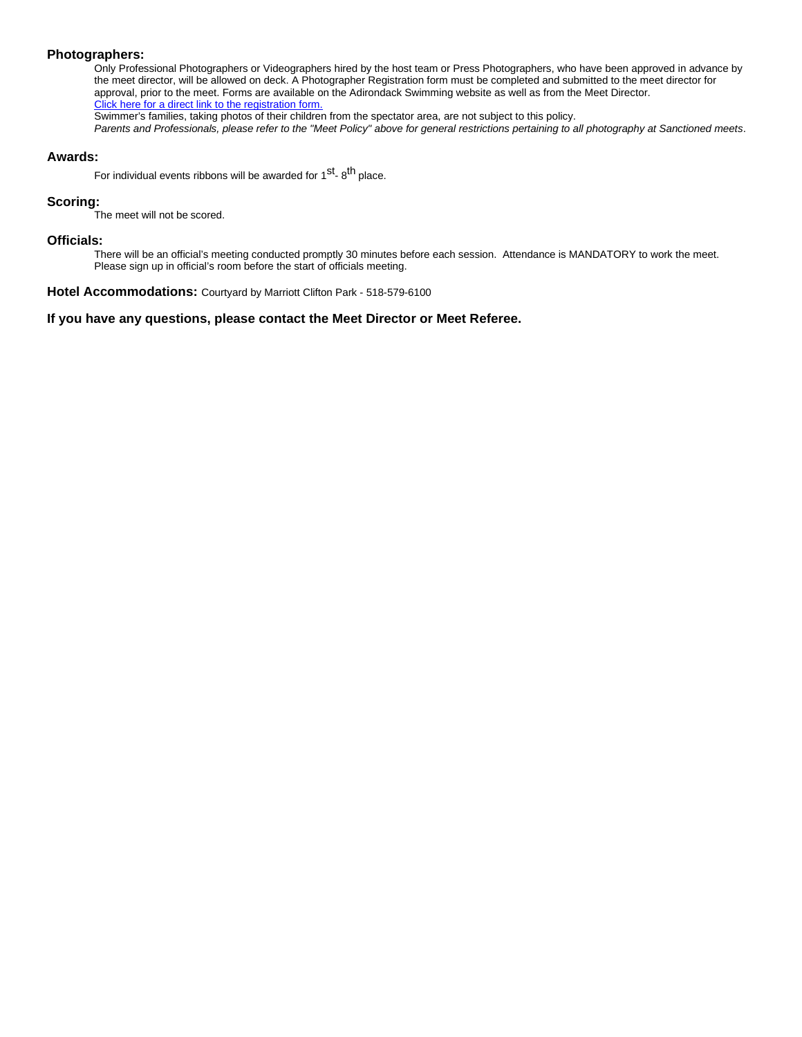# **Photographers:**

Only Professional Photographers or Videographers hired by the host team or Press Photographers, who have been approved in advance by the meet director, will be allowed on deck. A Photographer Registration form must be completed and submitted to the meet director for approval, prior to the meet. Forms are available on the Adirondack Swimming website as well as from the Meet Director. Click here for a direct link to the registration form.

Swimmer's families, taking photos of their children from the spectator area, are not subject to this policy.

*Parents and Professionals, please refer to the "Meet Policy" above for general restrictions pertaining to all photography at Sanctioned meets*.

## **Awards:**

For individual events ribbons will be awarded for  $1^{st}$ -  $8^{th}$  place.

# **Scoring:**

The meet will not be scored.

## **Officials:**

There will be an official's meeting conducted promptly 30 minutes before each session. Attendance is MANDATORY to work the meet. Please sign up in official's room before the start of officials meeting.

**Hotel Accommodations:** Courtyard by Marriott Clifton Park - 518-579-6100

# **If you have any questions, please contact the Meet Director or Meet Referee.**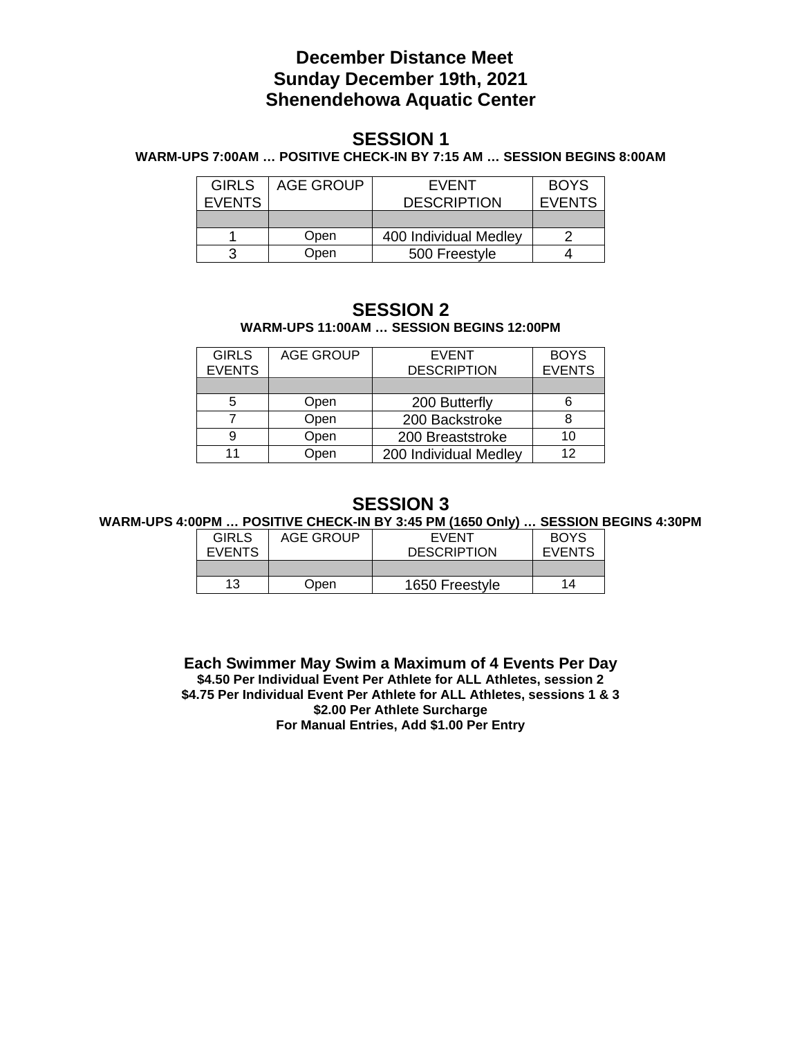# **December Distance Meet Sunday December 19th, 2021 Shenendehowa Aquatic Center**

# **SESSION 1**

**WARM-UPS 7:00AM … POSITIVE CHECK-IN BY 7:15 AM … SESSION BEGINS 8:00AM**

| <b>GIRLS</b>  | AGE GROUP | EVENT                 | <b>BOYS</b>   |
|---------------|-----------|-----------------------|---------------|
| <b>EVENTS</b> |           | <b>DESCRIPTION</b>    | <b>EVENTS</b> |
|               |           |                       |               |
|               | Open      | 400 Individual Medley |               |
|               | Open      | 500 Freestyle         |               |

# **SESSION 2 WARM-UPS 11:00AM … SESSION BEGINS 12:00PM**

| <b>GIRLS</b>  | <b>AGE GROUP</b> | <b>EVENT</b>          | <b>BOYS</b>   |
|---------------|------------------|-----------------------|---------------|
| <b>EVENTS</b> |                  | <b>DESCRIPTION</b>    | <b>EVENTS</b> |
|               |                  |                       |               |
| 5             | Open             | 200 Butterfly         |               |
|               | Open             | 200 Backstroke        |               |
| 9             | Open             | 200 Breaststroke      | 10            |
| 11            | Open             | 200 Individual Medley | 12            |

# **SESSION 3**

**WARM-UPS 4:00PM … POSITIVE CHECK-IN BY 3:45 PM (1650 Only) … SESSION BEGINS 4:30PM**

| <b>GIRLS</b>  | AGE GROUP | EVENT              | <b>BOYS</b>   |
|---------------|-----------|--------------------|---------------|
| <b>EVENTS</b> |           | <b>DESCRIPTION</b> | <b>EVENTS</b> |
|               |           |                    |               |
| 13            | Open      | 1650 Freestyle     | 14            |

**Each Swimmer May Swim a Maximum of 4 Events Per Day \$4.50 Per Individual Event Per Athlete for ALL Athletes, session 2 \$4.75 Per Individual Event Per Athlete for ALL Athletes, sessions 1 & 3 \$2.00 Per Athlete Surcharge For Manual Entries, Add \$1.00 Per Entry**